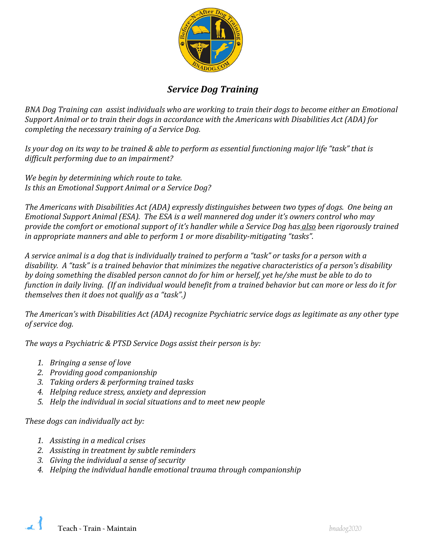

# *Service Dog Training*

*BNA Dog Training can assist individuals who are working to train their dogs to become either an Emotional Support Animal or to train their dogs in accordance with the Americans with Disabilities Act (ADA) for completing the necessary training of a Service Dog.* 

*Is your dog on its way to be trained & able to perform as essential functioning major life "task" that is difficult performing due to an impairment?*

*We begin by determining which route to take. Is this an Emotional Support Animal or a Service Dog?* 

*The Americans with Disabilities Act (ADA) expressly distinguishes between two types of dogs. One being an Emotional Support Animal (ESA). The ESA is a well mannered dog under it's owners control who may provide the comfort or emotional support of it's handler while a Service Dog has also been rigorously trained in appropriate manners and able to perform 1 or more disability-mitigating "tasks".* 

*A service animal is a dog that is individually trained to perform a "task" or tasks for a person with a disability. A "task" is a trained behavior that minimizes the negative characteristics of a person's disability by doing something the disabled person cannot do for him or herself, yet he/she must be able to do to function in daily living. (If an individual would benefit from a trained behavior but can more or less do it for themselves then it does not qualify as a "task".)*

*The American's with Disabilities Act (ADA) recognize Psychiatric service dogs as legitimate as any other type of service dog.*

*The ways a Psychiatric & PTSD Service Dogs assist their person is by:*

- *1. Bringing a sense of love*
- *2. Providing good companionship*
- *3. Taking orders & performing trained tasks*
- *4. Helping reduce stress, anxiety and depression*
- *5. Help the individual in social situations and to meet new people*

*These dogs can individually act by:*

- *1. Assisting in a medical crises*
- *2. Assisting in treatment by subtle reminders*
- *3. Giving the individual a sense of security*
- *4. Helping the individual handle emotional trauma through companionship*

**Teach ~ Train ~ Maintain** *bnadog2020*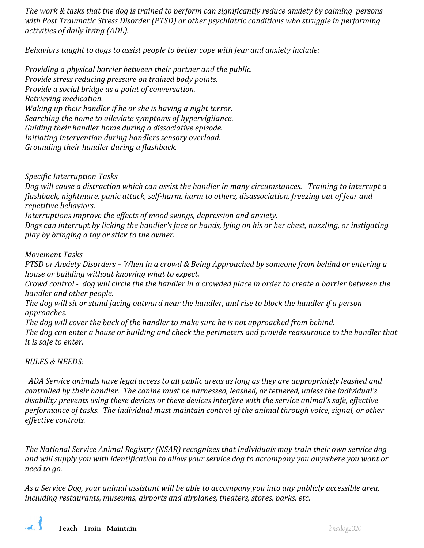*The work & tasks that the dog is trained to perform can significantly reduce anxiety by calming persons with Post Traumatic Stress Disorder (PTSD) or other psychiatric conditions who struggle in performing activities of daily living (ADL).*

*Behaviors taught to dogs to assist people to better cope with fear and anxiety include:*

*Providing a physical barrier between their partner and the public. Provide stress reducing pressure on trained body points. Provide a social bridge as a point of conversation. Retrieving medication. Waking up their handler if he or she is having a night terror. Searching the home to alleviate symptoms of hypervigilance. Guiding their handler home during a dissociative episode. Initiating intervention during handlers sensory overload. Grounding their handler during a flashback.*

#### *Specific Interruption Tasks*

*Dog will cause a distraction which can assist the handler in many circumstances. Training to interrupt a flashback, nightmare, panic attack, self-harm, harm to others, disassociation, freezing out of fear and repetitive behaviors.* 

*Interruptions improve the effects of mood swings, depression and anxiety.* 

*Dogs can interrupt by licking the handler's face or hands, lying on his or her chest, nuzzling, or instigating play by bringing a toy or stick to the owner.* 

#### *Movement Tasks*

*PTSD or Anxiety Disorders – When in a crowd & Being Approached by someone from behind or entering a house or building without knowing what to expect.* 

*Crowd control - dog will circle the the handler in a crowded place in order to create a barrier between the handler and other people.* 

*The dog will sit or stand facing outward near the handler, and rise to block the handler if a person approaches.* 

*The dog will cover the back of the handler to make sure he is not approached from behind. The dog can enter a house or building and check the perimeters and provide reassurance to the handler that it is safe to enter.* 

### *RULES & NEEDS:*

 *ADA Service animals have legal access to all public areas as long as they are appropriately leashed and controlled by their handler. The canine must be harnessed, leashed, or tethered, unless the individual's disability prevents using these devices or these devices interfere with the service animal's safe, effective performance of tasks. The individual must maintain control of the animal through voice, signal, or other effective controls.*

*The National Service Animal Registry (NSAR) recognizes that individuals may train their own service dog and will supply you with identification to allow your service dog to accompany you anywhere you want or need to go.*

*As a Service Dog, your animal assistant will be able to accompany you into any publicly accessible area, including restaurants, museums, airports and airplanes, theaters, stores, parks, etc.*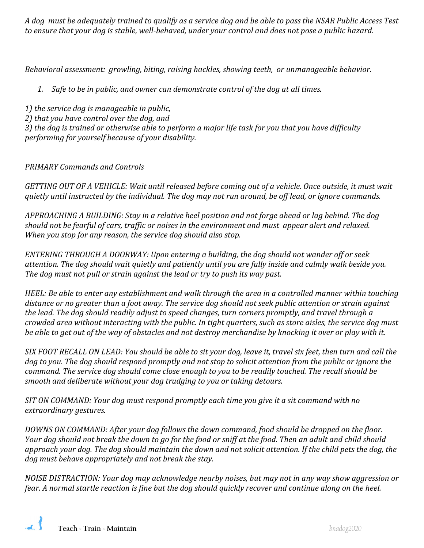*A dog must be adequately trained to qualify as a service dog and be able to pass the NSAR Public Access Test to ensure that your dog is stable, well-behaved, under your control and does not pose a public hazard.* 

*Behavioral assessment: growling, biting, raising hackles, showing teeth, or unmanageable behavior.*

*1. Safe to be in public, and owner can demonstrate control of the dog at all times.*

*1) the service dog is manageable in public,* 

*2) that you have control over the dog, and* 

*3) the dog is trained or otherwise able to perform a major life task for you that you have difficulty performing for yourself because of your disability.*

## *PRIMARY Commands and Controls*

*GETTING OUT OF A VEHICLE: Wait until released before coming out of a vehicle. Once outside, it must wait quietly until instructed by the individual. The dog may not run around, be off lead, or ignore commands.* 

*APPROACHING A BUILDING: Stay in a relative heel position and not forge ahead or lag behind. The dog should not be fearful of cars, traffic or noises in the environment and must appear alert and relaxed. When you stop for any reason, the service dog should also stop.*

*ENTERING THROUGH A DOORWAY: Upon entering a building, the dog should not wander off or seek attention. The dog should wait quietly and patiently until you are fully inside and calmly walk beside you. The dog must not pull or strain against the lead or try to push its way past.*

*HEEL: Be able to enter any establishment and walk through the area in a controlled manner within touching distance or no greater than a foot away. The service dog should not seek public attention or strain against the lead. The dog should readily adjust to speed changes, turn corners promptly, and travel through a crowded area without interacting with the public. In tight quarters, such as store aisles, the service dog must be able to get out of the way of obstacles and not destroy merchandise by knocking it over or play with it.*

*SIX FOOT RECALL ON LEAD: You should be able to sit your dog, leave it, travel six feet, then turn and call the dog to you. The dog should respond promptly and not stop to solicit attention from the public or ignore the command. The service dog should come close enough to you to be readily touched. The recall should be smooth and deliberate without your dog trudging to you or taking detours.*

*SIT ON COMMAND: Your dog must respond promptly each time you give it a sit command with no extraordinary gestures.*

*DOWNS ON COMMAND: After your dog follows the down command, food should be dropped on the floor. Your dog should not break the down to go for the food or sniff at the food. Then an adult and child should approach your dog. The dog should maintain the down and not solicit attention. If the child pets the dog, the dog must behave appropriately and not break the stay.* 

*NOISE DISTRACTION: Your dog may acknowledge nearby noises, but may not in any way show aggression or fear. A normal startle reaction is fine but the dog should quickly recover and continue along on the heel.*